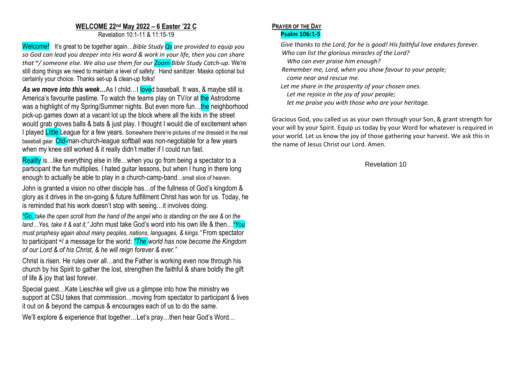## **WELCOME 22nd May 2022 – 6 Easter '22 C**

Revelation 10:1-11 & 11:15-19

Welcome! It's great to be together again…*Bible Study Qs are provided to equip you so God can lead you deeper into His word & work in your life, then you can share that <sup>w</sup> / someone else. We also use them for our Zoom Bible Study Catch-up.* We're still doing things we need to maintain a level of safety: Hand sanitizer. Masks optional but certainly your choice. Thanks set-up & clean-up folks!

As we move into this week...As I child...I loved baseball. It was, & maybe still is America's favourite pastime. To watch the teams play on TV/or at the Astrodome was a highlight of my Spring/Summer nights. But even more fun...the neighborhood pick-up games down at a vacant lot up the block where all the kids in the street would grab gloves balls & bats & just play. I thought I would die of excitement when I played Little League for a few years. Somewhere there're pictures of me dressed in the real baseball gear. Old-man-church-league softball was non-negotiable for a few years when my knee still worked & it really didn't matter if I could run fast.

Reality is... like everything else in life... when you go from being a spectator to a participant the fun multiplies. I hated guitar lessons, but when I hung in there long enough to actually be able to play in a church-camp-band…small slice of heaven.

John is granted a vision no other disciple has…of the fullness of God's kingdom & glory as it drives in the on-going & future fulfillment Christ has won for us. Today, he is reminded that his work doesn't stop with seeing…it involves doing.

*"Go, take the open scroll from the hand of the angel who is standing on the sea & on the land…Yes, take it & eat it,"* John must take God's word into his own life & then…*"You must prophesy again about many peoples, nations, languages, & kings."* From spectator to participant w/ a message for the world: *"The world has now become the Kingdom of our Lord & of his Christ, & he will reign forever & ever."*

Christ is risen. He rules over all…and the Father is working even now through his church by his Spirit to gather the lost, strengthen the faithful & share boldly the gift of life & joy that last forever.

Special guest…Kate Lieschke will give us a glimpse into how the ministry we support at CSU takes that commission…moving from spectator to participant & lives it out on & beyond the campus & encourages each of us to do the same.

We'll explore & experience that together...Let's pray...then hear God's Word...

## **PRAYER OF THE DAY Psalm 106:1-5**

*Give thanks to the Lord, for he is good! His faithful love endures forever. Who can list the glorious miracles of the Lord?*

 *Who can ever praise him enough?*

- *Remember me, Lord, when you show favour to your people; come near and rescue me.*
- *Let me share in the prosperity of your chosen ones.*

 *Let me rejoice in the joy of your people;*

 *let me praise you with those who are your heritage.*

Gracious God, you called us as your own through your Son, & grant strength for your will by your Spirit. Equip us today by your Word for whatever is required in your world. Let us know the joy of those gathering your harvest. We ask this in the name of Jesus Christ our Lord. Amen.

## Revelation 10